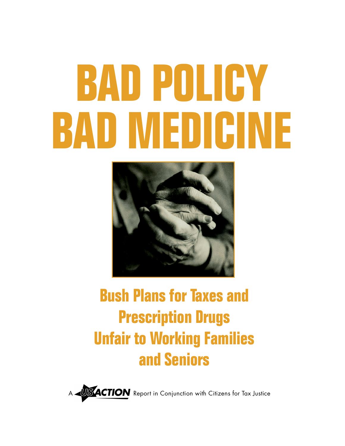# **BAD MEDICINE BAD POLICY**



## **Bush Plans for Taxes and Prescription Drugs Unfair to Working Families and Seniors**

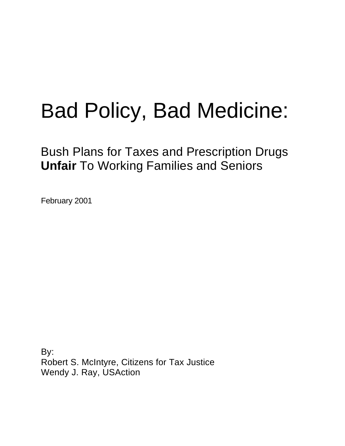# Bad Policy, Bad Medicine:

Bush Plans for Taxes and Prescription Drugs **Unfair** To Working Families and Seniors

February 2001

By: Robert S. McIntyre, Citizens for Tax Justice Wendy J. Ray, USAction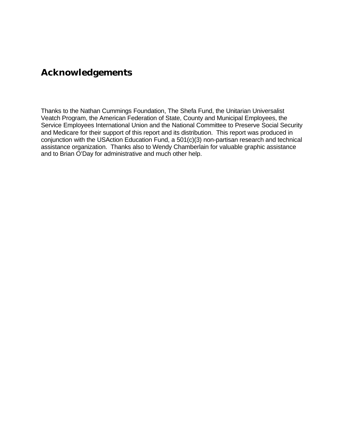## **Acknowledgements**

Thanks to the Nathan Cummings Foundation, The Shefa Fund, the Unitarian Universalist Veatch Program, the American Federation of State, County and Municipal Employees, the Service Employees International Union and the National Committee to Preserve Social Security and Medicare for their support of this report and its distribution. This report was produced in conjunction with the USAction Education Fund, a 501(c)(3) non-partisan research and technical assistance organization. Thanks also to Wendy Chamberlain for valuable graphic assistance and to Brian O'Day for administrative and much other help.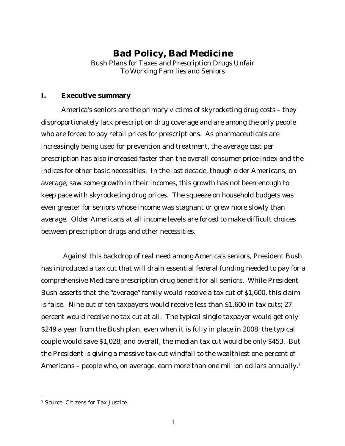### **Bad Policy, Bad Medicine**

Bush Plans for Taxes and Prescription Drugs Unfair To Working Families and Seniors

#### **I. Executive summary**

America's seniors are the primary victims of skyrocketing drug costs – they disproportionately lack prescription drug coverage and are among the only people who are forced to pay retail prices for prescriptions. As pharmaceuticals are increasingly being used for prevention and treatment, the average cost per prescription has also increased faster than the overall consumer price index and the indices for other basic necessities. In the last decade, though older Americans, on average, saw some growth in their incomes, this growth has not been enough to keep pace with skyrocketing drug prices. The squeeze on household budgets was even greater for seniors whose income was stagnant or grew more slowly than average. Older Americans at all income levels are forced to make difficult choices between prescription drugs and other necessities.

 Against this backdrop of real need among America's seniors, President Bush has introduced a tax cut that will drain essential federal funding needed to pay for a comprehensive Medicare prescription drug benefit for all seniors. While President Bush asserts that the "average" family would receive a tax cut of \$1,600, this claim is false. Nine out of ten taxpayers would receive less than \$1,600 in tax cuts; 27 percent would receive no tax cut at all. The typical single taxpayer would get only \$249 a year from the Bush plan, even when it is fully in place in 2008; the typical couple would save \$1,028; and overall, the median tax cut would be only \$453. But the President is giving a massive tax-cut windfall to the wealthiest one percent of Americans – people who, on average, earn more than one million dollars annually.<sup>1</sup>

<sup>1</sup> Source: Citizens for Tax Justice.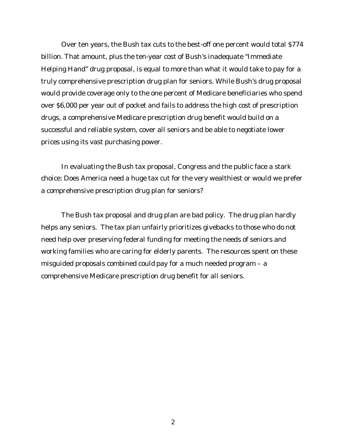Over ten years, the Bush tax cuts to the best-off one percent would total \$774 billion. That amount, plus the ten-year cost of Bush's inadequate "Immediate Helping Hand" drug proposal, is equal to more than what it would take to pay for a truly comprehensive prescription drug plan for seniors. While Bush's drug proposal would provide coverage only to the one percent of Medicare beneficiaries who spend over \$6,000 per year out of pocket and fails to address the high cost of prescription drugs, a comprehensive Medicare prescription drug benefit would build on a successful and reliable system, cover all seniors and be able to negotiate lower prices using its vast purchasing power.

In evaluating the Bush tax proposal, Congress and the public face a stark choice: Does America need a huge tax cut for the very wealthiest or would we prefer a comprehensive prescription drug plan for seniors?

The Bush tax proposal and drug plan are bad policy. The drug plan hardly helps any seniors. The tax plan unfairly prioritizes givebacks to those who do not need help over preserving federal funding for meeting the needs of seniors and working families who are caring for elderly parents. The resources spent on these misguided proposals combined could pay for a much needed program – a comprehensive Medicare prescription drug benefit for all seniors.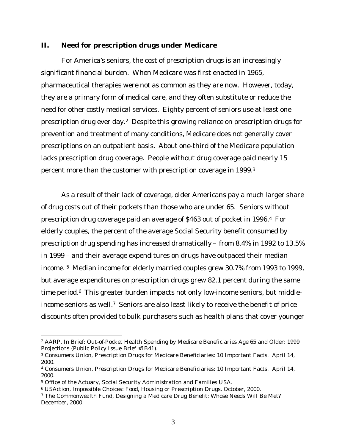#### **II. Need for prescription drugs under Medicare**

For America's seniors, the cost of prescription drugs is an increasingly significant financial burden. When Medicare was first enacted in 1965, pharmaceutical therapies were not as common as they are now. However, today, they are a primary form of medical care, and they often substitute or reduce the need for other costly medical services. Eighty percent of seniors use at least one prescription drug ever day.2 Despite this growing reliance on prescription drugs for prevention and treatment of many conditions, Medicare does not generally cover prescriptions on an outpatient basis. About one-third of the Medicare population lacks prescription drug coverage. People without drug coverage paid nearly 15 percent more than the customer with prescription coverage in 1999.<sup>3</sup>

As a result of their lack of coverage, older Americans pay a much larger share of drug costs out of their pockets than those who are under 65. Seniors without prescription drug coverage paid an average of \$463 out of pocket in 1996.4 For elderly couples, the percent of the average Social Security benefit consumed by prescription drug spending has increased dramatically – from 8.4% in 1992 to 13.5% in 1999 – and their average expenditures on drugs have outpaced their median income. <sup>5</sup> Median income for elderly married couples grew 30.7% from 1993 to 1999, but average expenditures on prescription drugs grew 82.1 percent during the same time period.<sup>6</sup> This greater burden impacts not only low-income seniors, but middleincome seniors as well.7 Seniors are also least likely to receive the benefit of price discounts often provided to bulk purchasers such as health plans that cover younger

<sup>2</sup> AARP, In Brief: Out-of-Pocket Health Spending by Medicare Beneficiaries Age 65 and Older: 1999 Projections (Public Policy Issue Brief #1B41).

<sup>3</sup> Consumers Union, Prescription Drugs for Medicare Beneficiaries: 10 Important Facts. April 14, 2000.

<sup>4</sup> Consumers Union, Prescription Drugs for Medicare Beneficiaries: 10 Important Facts. April 14, 2000.

<sup>5</sup> Office of the Actuary, Social Security Administration and Families USA.

<sup>6</sup> USAction, Impossible Choices: Food, Housing or Prescription Drugs, October, 2000.

<sup>7</sup> The Commonwealth Fund, Designing a Medicare Drug Benefit: Whose Needs Will Be Met? December, 2000.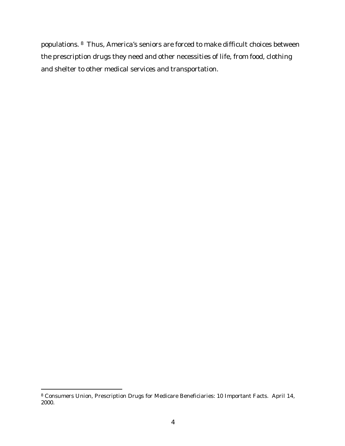populations. <sup>8</sup> Thus, America's seniors are forced to make difficult choices between the prescription drugs they need and other necessities of life, from food, clothing and shelter to other medical services and transportation.

<sup>8</sup> Consumers Union, Prescription Drugs for Medicare Beneficiaries: 10 Important Facts. April 14, 2000.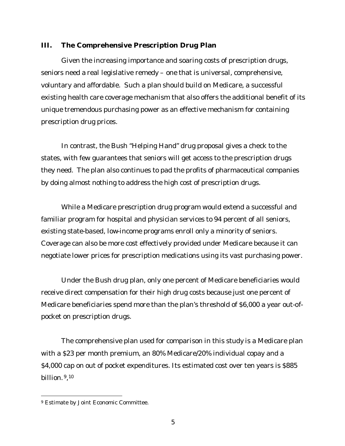#### **III. The Comprehensive Prescription Drug Plan**

Given the increasing importance and soaring costs of prescription drugs, seniors need a real legislative remedy – one that is universal, comprehensive, voluntary and affordable. Such a plan should build on Medicare, a successful existing health care coverage mechanism that also offers the additional benefit of its unique tremendous purchasing power as an effective mechanism for containing prescription drug prices.

In contrast, the Bush "Helping Hand" drug proposal gives a check to the states, with few guarantees that seniors will get access to the prescription drugs they need. The plan also continues to pad the profits of pharmaceutical companies by doing almost nothing to address the high cost of prescription drugs.

While a Medicare prescription drug program would extend a successful and familiar program for hospital and physician services to 94 percent of all seniors, existing state-based, low-income programs enroll only a minority of seniors. Coverage can also be more cost effectively provided under Medicare because it can negotiate lower prices for prescription medications using its vast purchasing power.

Under the Bush drug plan, only one percent of Medicare beneficiaries would receive direct compensation for their high drug costs because just one percent of Medicare beneficiaries spend more than the plan's threshold of \$6,000 a year out-ofpocket on prescription drugs.

The comprehensive plan used for comparison in this study is a Medicare plan with a \$23 per month premium, an 80% Medicare/20% individual copay and a \$4,000 cap on out of pocket expenditures. Its estimated cost over ten years is \$885 billion. <sup>9</sup>, 10

<sup>9</sup> Estimate by Joint Economic Committee.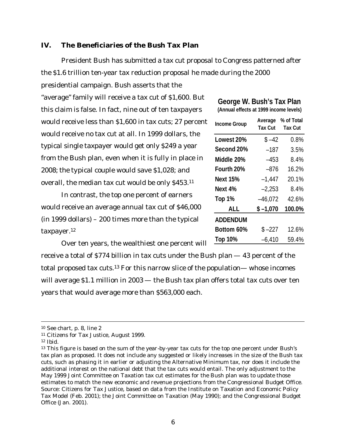#### **IV. The Beneficiaries of the Bush Tax Plan**

President Bush has submitted a tax cut proposal to Congress patterned after the \$1.6 trillion ten-year tax reduction proposal he made during the 2000

presidential campaign. Bush asserts that the

"average" family will receive a tax cut of \$1,600. But this claim is false. In fact, nine out of ten taxpayers would receive less than \$1,600 in tax cuts; 27 percent would receive no tax cut at all. In 1999 dollars, the typical single taxpayer would get only \$249 a year from the Bush plan, even when it is fully in place in 2008; the typical couple would save \$1,028; and overall, the median tax cut would be only \$453.<sup>11</sup>

In contrast, the top one percent of earners would receive an average annual tax cut of \$46,000 (in 1999 dollars) – 200 times more than the typical taxpayer.<sup>12</sup>

| George W. Bush's Tax Plan              |  |  |
|----------------------------------------|--|--|
| (Annual effects at 1999 income levels) |  |  |

| <b>Income Group</b> | Average<br><b>Tax Cut</b> | % of Total<br><b>Tax Cut</b> |
|---------------------|---------------------------|------------------------------|
| Lowest 20%          | $$ -42$                   | 0.8%                         |
| Second 20%          | $-187$                    | 3.5%                         |
| Middle 20%          | $-453$                    | 8.4%                         |
| Fourth 20%          | $-876$                    | 16.2%                        |
| <b>Next 15%</b>     | $-1.447$                  | 20.1%                        |
| Next 4%             | $-2,253$                  | 8.4%                         |
| Top 1%              | $-46,072$                 | 42.6%                        |
| <b>ALL</b>          | $$ -1,070$                | 100.0%                       |
| <b>ADDENDUM</b>     |                           |                              |
| Bottom 60%          | $$ -227$                  | 12.6%                        |
| <b>Top 10%</b>      | $-6,410$                  | 59.4%                        |

Over ten years, the wealthiest one percent will

receive a total of \$774 billion in tax cuts under the Bush plan — 43 percent of the total proposed tax cuts.13 For this narrow slice of the population— whose incomes will average \$1.1 million in 2003 — the Bush tax plan offers total tax cuts over ten years that would average more than \$563,000 each.

<sup>12</sup> *Ibid*.

<sup>10</sup> See chart, p. 8, line 2

<sup>11</sup> Citizens for Tax Justice, August 1999.

<sup>&</sup>lt;sup>13</sup> This figure is based on the sum of the year-by-year tax cuts for the top one percent under Bush's tax plan as proposed. It does not include any suggested or likely increases in the size of the Bush tax cuts, such as phasing it in earlier or adjusting the Alternative Minimum tax, nor does it include the additional interest on the national debt that the tax cuts would entail. The only adjustment to the May 1999 Joint Committee on Taxation tax cut estimates for the Bush plan was to update those estimates to match the new economic and revenue projections from the Congressional Budget Office. Source: Citizens for Tax Justice, based on data from the Institute on Taxation and Economic Policy Tax Model (Feb. 2001); the Joint Committee on Taxation (May 1990); and the Congressional Budget Office (Jan. 2001).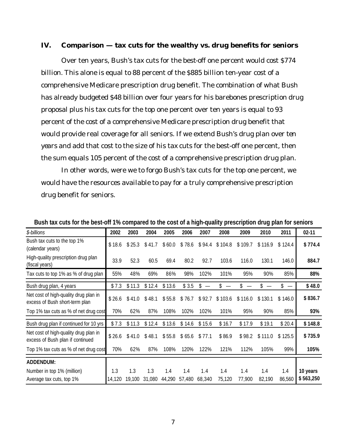#### **IV. Comparison — tax cuts for the wealthy vs. drug benefits for seniors**

Over ten years, Bush's tax cuts for the best-off one percent would cost \$774 billion. This alone is equal to 88 percent of the \$885 billion ten-year cost of a comprehensive Medicare prescription drug benefit. The combination of what Bush has already budgeted \$48 billion over four years for his barebones prescription drug proposal plus his tax cuts for the top one percent over ten years is equal to 93 percent of the cost of a comprehensive Medicare prescription drug benefit that would provide real coverage for all seniors. If we extend Bush's drug plan over *ten years* and add that cost to the size of his tax cuts for the best-off one percent, then the sum equals 105 percent of the cost of a comprehensive prescription drug plan.

In other words, were we to forgo Bush's tax cuts for the top one percent, we would have the resources available to pay for a truly comprehensive prescription drug benefit for seniors.

| \$-billions                                                               | 2002          | 2003          | 2004          | 2005          | 2006          | 2007          | 2008          | 2009          | 2010          | 2011          | $02 - 11$             |
|---------------------------------------------------------------------------|---------------|---------------|---------------|---------------|---------------|---------------|---------------|---------------|---------------|---------------|-----------------------|
| Bush tax cuts to the top 1%<br>(calendar years)                           | \$18.6        | \$25.3        | \$41.7        | \$60.0        | \$78.6        | \$94.4        | \$104.8       | \$109.7       | \$116.9       | 124.4<br>\$   | \$774.4               |
| High-quality prescription drug plan<br>(fiscal years)                     | 33.9          | 52.3          | 60.5          | 69.4          | 80.2          | 92.7          | 103.6         | 116.0         | 130.1         | 146.0         | 884.7                 |
| Tax cuts to top 1% as % of drug plan                                      | 55%           | 48%           | 69%           | 86%           | 98%           | 102%          | 101%          | 95%           | 90%           | 85%           | 88%                   |
| Bush drug plan, 4 years                                                   | \$7.3         | \$11.3        | \$12.4        | \$13.6        | \$3.5         | \$            |               | \$            |               |               | \$48.0                |
| Net cost of high-quality drug plan in<br>excess of Bush short-term plan   | \$26.6        | \$41.0        | \$48.1        | \$55.8        | \$76.7        | \$92.7        | \$103.6       | \$116.0       | \$1<br>30.1   | \$146.0       | \$836.7               |
| Top 1% tax cuts as % of net drug cost                                     | 70%           | 62%           | 87%           | 108%          | 102%          | 102%          | 101%          | 95%           | 90%           | 85%           | 93%                   |
| Bush drug plan if continued for 10 yrs                                    | \$7.3         | \$11.3        | \$12.4        | \$13.6        | \$14.6        | \$15.6        | \$16.7        | \$17.9        | \$19.1        | \$20.4        | \$148.8               |
| Net cost of high-quality drug plan in<br>excess of Bush plan if continued | \$26.6        | \$41.0        | \$48.1        | \$55.8        | \$65.6        | \$77.1        | \$86.9        | \$98.2        | \$111.0       | \$125.5       | \$735.9               |
| Top 1% tax cuts as % of net drug cost                                     | 70%           | 62%           | 87%           | 108%          | 120%          | 122%          | 121%          | 112%          | 105%          | 99%           | 105%                  |
| <b>ADDENDUM:</b>                                                          |               |               |               |               |               |               |               |               |               |               |                       |
| Number in top 1% (million)<br>Average tax cuts, top 1%                    | 1.3<br>14,120 | 1.3<br>19,100 | 1.3<br>31,080 | 1.4<br>44,290 | 1.4<br>57,480 | 1.4<br>68,340 | 1.4<br>75,120 | 1.4<br>77,900 | 1.4<br>82,190 | 1.4<br>86,560 | 10 years<br>\$563,250 |
|                                                                           |               |               |               |               |               |               |               |               |               |               |                       |

**Bush tax cuts for the best-off 1% compared to the cost of a high-quality prescription drug plan for seniors**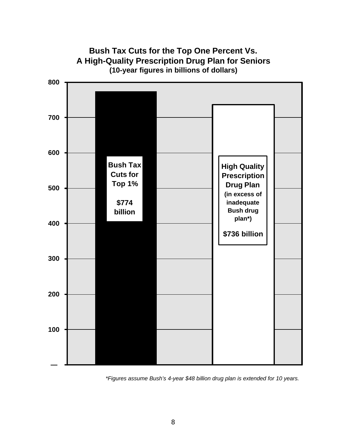

*\*Figures assume Bush's 4-year \$48 billion drug plan is extended for 10 years.*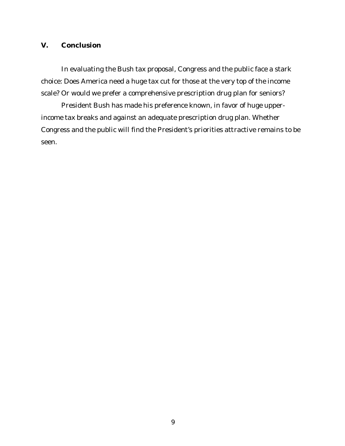#### **V. Conclusion**

In evaluating the Bush tax proposal, Congress and the public face a stark choice: Does America need a huge tax cut for those at the very top of the income scale? Or would we prefer a comprehensive prescription drug plan for seniors?

President Bush has made his preference known, in favor of huge upperincome tax breaks and against an adequate prescription drug plan. Whether Congress and the public will find the President's priorities attractive remains to be seen.